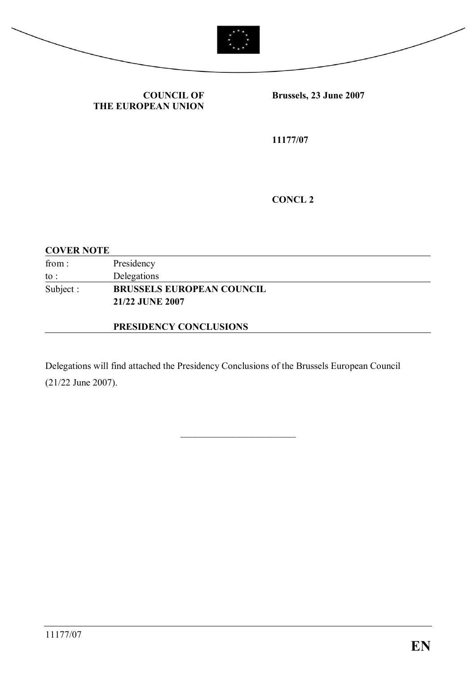



COUNCIL OF THE EUROPEAN UNION Brussels, 23 June 2007

11177/07

CONCL 2

#### COVER NOTE

| from:     | Presidency                       |
|-----------|----------------------------------|
| to :      | Delegations                      |
| Subject : | <b>BRUSSELS EUROPEAN COUNCIL</b> |
|           | <b>21/22 JUNE 2007</b>           |
|           |                                  |

#### PRESIDENCY CONCLUSIONS

Delegations will find attached the Presidency Conclusions of the Brussels European Council (21/22 June 2007).

\_\_\_\_\_\_\_\_\_\_\_\_\_\_\_\_\_\_\_\_\_\_\_\_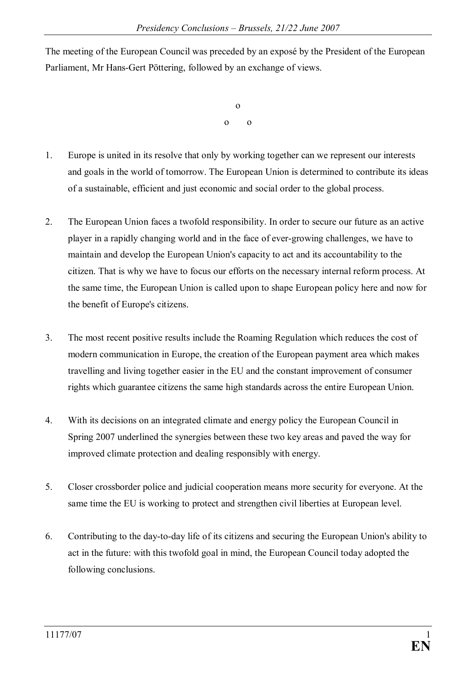The meeting of the European Council was preceded by an exposé by the President of the European Parliament, Mr Hans-Gert Pöttering, followed by an exchange of views.

```
o 
o o
```
- 1. Europe is united in its resolve that only by working together can we represent our interests and goals in the world of tomorrow. The European Union is determined to contribute its ideas of a sustainable, efficient and just economic and social order to the global process.
- 2. The European Union faces a twofold responsibility. In order to secure our future as an active player in a rapidly changing world and in the face of ever-growing challenges, we have to maintain and develop the European Union's capacity to act and its accountability to the citizen. That is why we have to focus our efforts on the necessary internal reform process. At the same time, the European Union is called upon to shape European policy here and now for the benefit of Europe's citizens.
- 3. The most recent positive results include the Roaming Regulation which reduces the cost of modern communication in Europe, the creation of the European payment area which makes travelling and living together easier in the EU and the constant improvement of consumer rights which guarantee citizens the same high standards across the entire European Union.
- 4. With its decisions on an integrated climate and energy policy the European Council in Spring 2007 underlined the synergies between these two key areas and paved the way for improved climate protection and dealing responsibly with energy.
- 5. Closer crossborder police and judicial cooperation means more security for everyone. At the same time the EU is working to protect and strengthen civil liberties at European level.
- 6. Contributing to the day-to-day life of its citizens and securing the European Union's ability to act in the future: with this twofold goal in mind, the European Council today adopted the following conclusions.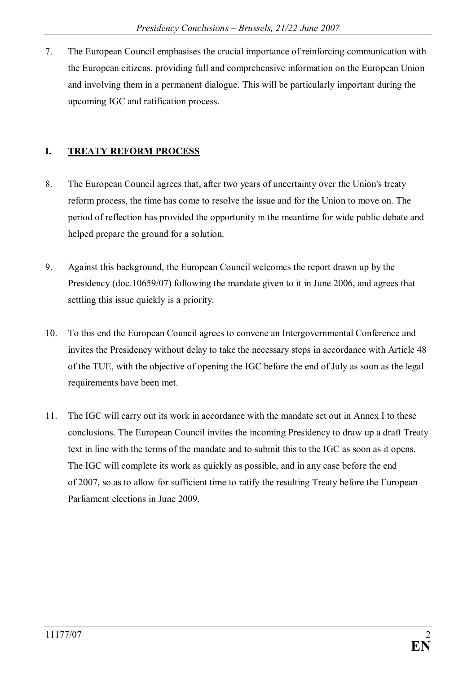7. The European Council emphasises the crucial importance of reinforcing communication with the European citizens, providing full and comprehensive information on the European Union and involving them in a permanent dialogue. This will be particularly important during the upcoming IGC and ratification process.

# I. TREATY REFORM PROCESS

- 8. The European Council agrees that, after two years of uncertainty over the Union's treaty reform process, the time has come to resolve the issue and for the Union to move on. The period of reflection has provided the opportunity in the meantime for wide public debate and helped prepare the ground for a solution.
- 9. Against this background, the European Council welcomes the report drawn up by the Presidency (doc.10659/07) following the mandate given to it in June 2006, and agrees that settling this issue quickly is a priority.
- 10. To this end the European Council agrees to convene an Intergovernmental Conference and invites the Presidency without delay to take the necessary steps in accordance with Article 48 of the TUE, with the objective of opening the IGC before the end of July as soon as the legal requirements have been met.
- 11. The IGC will carry out its work in accordance with the mandate set out in Annex I to these conclusions. The European Council invites the incoming Presidency to draw up a draft Treaty text in line with the terms of the mandate and to submit this to the IGC as soon as it opens. The IGC will complete its work as quickly as possible, and in any case before the end of 2007, so as to allow for sufficient time to ratify the resulting Treaty before the European Parliament elections in June 2009.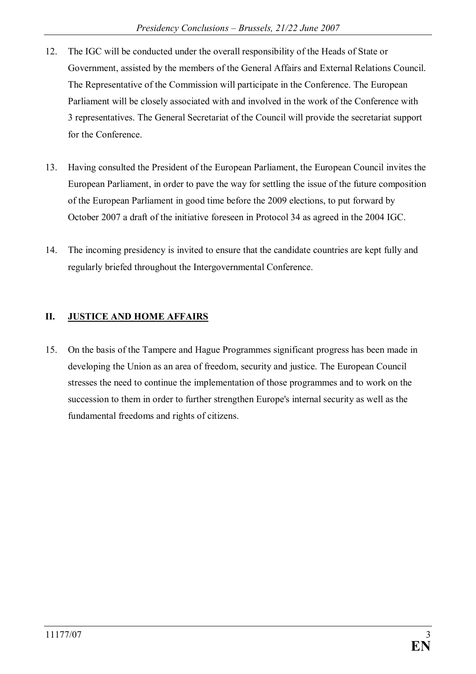- 12. The IGC will be conducted under the overall responsibility of the Heads of State or Government, assisted by the members of the General Affairs and External Relations Council. The Representative of the Commission will participate in the Conference. The European Parliament will be closely associated with and involved in the work of the Conference with 3 representatives. The General Secretariat of the Council will provide the secretariat support for the Conference.
- 13. Having consulted the President of the European Parliament, the European Council invites the European Parliament, in order to pave the way for settling the issue of the future composition of the European Parliament in good time before the 2009 elections, to put forward by October 2007 a draft of the initiative foreseen in Protocol 34 as agreed in the 2004 IGC.
- 14. The incoming presidency is invited to ensure that the candidate countries are kept fully and regularly briefed throughout the Intergovernmental Conference.

# II. JUSTICE AND HOME AFFAIRS

15. On the basis of the Tampere and Hague Programmes significant progress has been made in developing the Union as an area of freedom, security and justice. The European Council stresses the need to continue the implementation of those programmes and to work on the succession to them in order to further strengthen Europe's internal security as well as the fundamental freedoms and rights of citizens.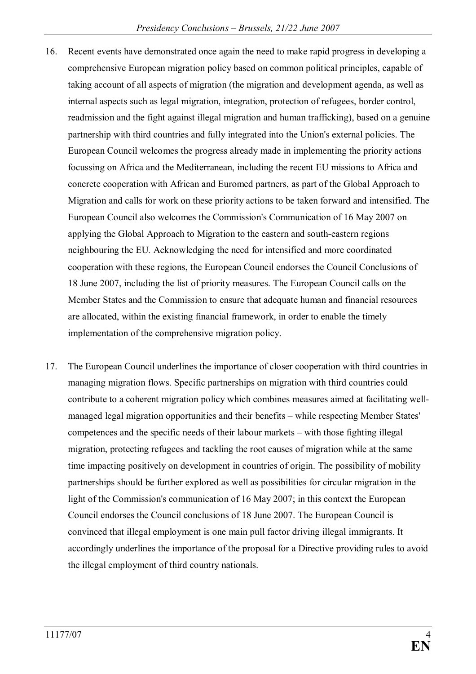- 16. Recent events have demonstrated once again the need to make rapid progress in developing a comprehensive European migration policy based on common political principles, capable of taking account of all aspects of migration (the migration and development agenda, as well as internal aspects such as legal migration, integration, protection of refugees, border control, readmission and the fight against illegal migration and human trafficking), based on a genuine partnership with third countries and fully integrated into the Union's external policies. The European Council welcomes the progress already made in implementing the priority actions focussing on Africa and the Mediterranean, including the recent EU missions to Africa and concrete cooperation with African and Euromed partners, as part of the Global Approach to Migration and calls for work on these priority actions to be taken forward and intensified. The European Council also welcomes the Commission's Communication of 16 May 2007 on applying the Global Approach to Migration to the eastern and south-eastern regions neighbouring the EU. Acknowledging the need for intensified and more coordinated cooperation with these regions, the European Council endorses the Council Conclusions of 18 June 2007, including the list of priority measures. The European Council calls on the Member States and the Commission to ensure that adequate human and financial resources are allocated, within the existing financial framework, in order to enable the timely implementation of the comprehensive migration policy.
- 17. The European Council underlines the importance of closer cooperation with third countries in managing migration flows. Specific partnerships on migration with third countries could contribute to a coherent migration policy which combines measures aimed at facilitating wellmanaged legal migration opportunities and their benefits – while respecting Member States' competences and the specific needs of their labour markets – with those fighting illegal migration, protecting refugees and tackling the root causes of migration while at the same time impacting positively on development in countries of origin. The possibility of mobility partnerships should be further explored as well as possibilities for circular migration in the light of the Commission's communication of 16 May 2007; in this context the European Council endorses the Council conclusions of 18 June 2007. The European Council is convinced that illegal employment is one main pull factor driving illegal immigrants. It accordingly underlines the importance of the proposal for a Directive providing rules to avoid the illegal employment of third country nationals.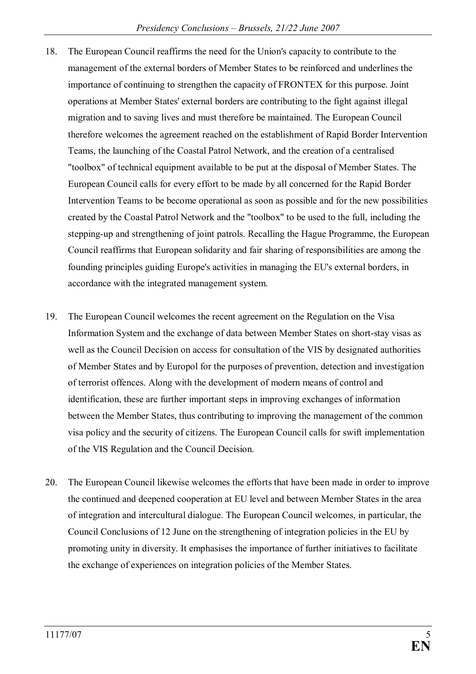- 18. The European Council reaffirms the need for the Union's capacity to contribute to the management of the external borders of Member States to be reinforced and underlines the importance of continuing to strengthen the capacity of FRONTEX for this purpose. Joint operations at Member States' external borders are contributing to the fight against illegal migration and to saving lives and must therefore be maintained. The European Council therefore welcomes the agreement reached on the establishment of Rapid Border Intervention Teams, the launching of the Coastal Patrol Network, and the creation of a centralised "toolbox" of technical equipment available to be put at the disposal of Member States. The European Council calls for every effort to be made by all concerned for the Rapid Border Intervention Teams to be become operational as soon as possible and for the new possibilities created by the Coastal Patrol Network and the "toolbox" to be used to the full, including the stepping-up and strengthening of joint patrols. Recalling the Hague Programme, the European Council reaffirms that European solidarity and fair sharing of responsibilities are among the founding principles guiding Europe's activities in managing the EU's external borders, in accordance with the integrated management system.
- 19. The European Council welcomes the recent agreement on the Regulation on the Visa Information System and the exchange of data between Member States on short-stay visas as well as the Council Decision on access for consultation of the VIS by designated authorities of Member States and by Europol for the purposes of prevention, detection and investigation of terrorist offences. Along with the development of modern means of control and identification, these are further important steps in improving exchanges of information between the Member States, thus contributing to improving the management of the common visa policy and the security of citizens. The European Council calls for swift implementation of the VIS Regulation and the Council Decision.
- 20. The European Council likewise welcomes the efforts that have been made in order to improve the continued and deepened cooperation at EU level and between Member States in the area of integration and intercultural dialogue. The European Council welcomes, in particular, the Council Conclusions of 12 June on the strengthening of integration policies in the EU by promoting unity in diversity. It emphasises the importance of further initiatives to facilitate the exchange of experiences on integration policies of the Member States.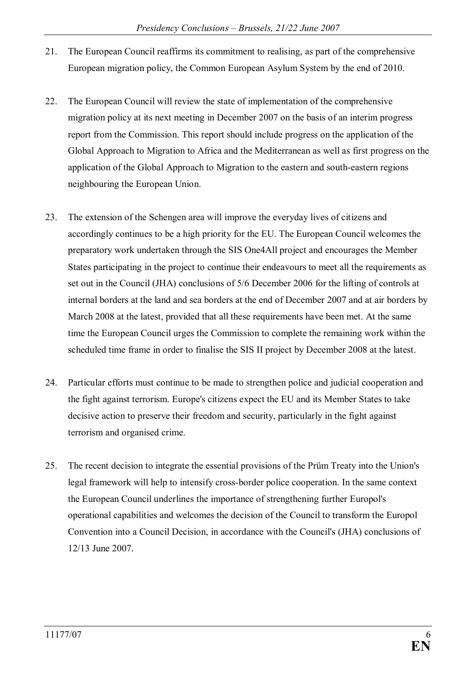- 21. The European Council reaffirms its commitment to realising, as part of the comprehensive European migration policy, the Common European Asylum System by the end of 2010.
- 22. The European Council will review the state of implementation of the comprehensive migration policy at its next meeting in December 2007 on the basis of an interim progress report from the Commission. This report should include progress on the application of the Global Approach to Migration to Africa and the Mediterranean as well as first progress on the application of the Global Approach to Migration to the eastern and south-eastern regions neighbouring the European Union.
- 23. The extension of the Schengen area will improve the everyday lives of citizens and accordingly continues to be a high priority for the EU. The European Council welcomes the preparatory work undertaken through the SIS One4All project and encourages the Member States participating in the project to continue their endeavours to meet all the requirements as set out in the Council (JHA) conclusions of 5/6 December 2006 for the lifting of controls at internal borders at the land and sea borders at the end of December 2007 and at air borders by March 2008 at the latest, provided that all these requirements have been met. At the same time the European Council urges the Commission to complete the remaining work within the scheduled time frame in order to finalise the SIS II project by December 2008 at the latest.
- 24. Particular efforts must continue to be made to strengthen police and judicial cooperation and the fight against terrorism. Europe's citizens expect the EU and its Member States to take decisive action to preserve their freedom and security, particularly in the fight against terrorism and organised crime.
- 25. The recent decision to integrate the essential provisions of the Prüm Treaty into the Union's legal framework will help to intensify cross-border police cooperation. In the same context the European Council underlines the importance of strengthening further Europol's operational capabilities and welcomes the decision of the Council to transform the Europol Convention into a Council Decision, in accordance with the Council's (JHA) conclusions of 12/13 June 2007.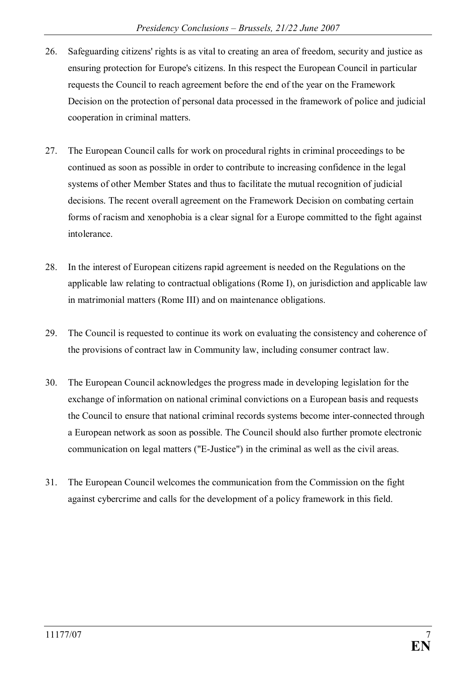- 26. Safeguarding citizens' rights is as vital to creating an area of freedom, security and justice as ensuring protection for Europe's citizens. In this respect the European Council in particular requests the Council to reach agreement before the end of the year on the Framework Decision on the protection of personal data processed in the framework of police and judicial cooperation in criminal matters.
- 27. The European Council calls for work on procedural rights in criminal proceedings to be continued as soon as possible in order to contribute to increasing confidence in the legal systems of other Member States and thus to facilitate the mutual recognition of judicial decisions. The recent overall agreement on the Framework Decision on combating certain forms of racism and xenophobia is a clear signal for a Europe committed to the fight against intolerance.
- 28. In the interest of European citizens rapid agreement is needed on the Regulations on the applicable law relating to contractual obligations (Rome I), on jurisdiction and applicable law in matrimonial matters (Rome III) and on maintenance obligations.
- 29. The Council is requested to continue its work on evaluating the consistency and coherence of the provisions of contract law in Community law, including consumer contract law.
- 30. The European Council acknowledges the progress made in developing legislation for the exchange of information on national criminal convictions on a European basis and requests the Council to ensure that national criminal records systems become inter-connected through a European network as soon as possible. The Council should also further promote electronic communication on legal matters ("E-Justice") in the criminal as well as the civil areas.
- 31. The European Council welcomes the communication from the Commission on the fight against cybercrime and calls for the development of a policy framework in this field.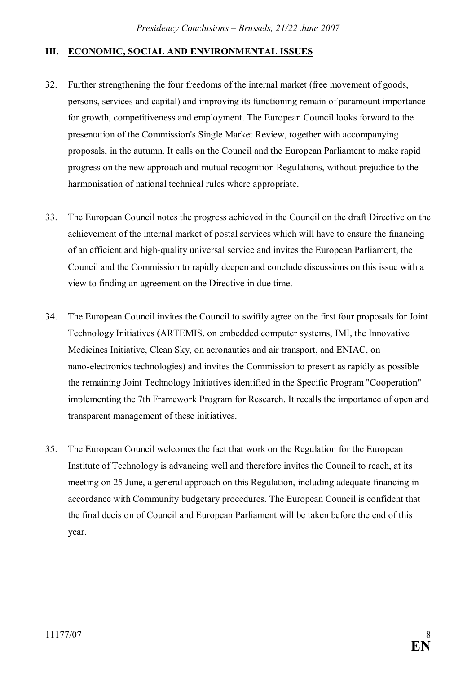# III. ECONOMIC, SOCIAL AND ENVIRONMENTAL ISSUES

- 32. Further strengthening the four freedoms of the internal market (free movement of goods, persons, services and capital) and improving its functioning remain of paramount importance for growth, competitiveness and employment. The European Council looks forward to the presentation of the Commission's Single Market Review, together with accompanying proposals, in the autumn. It calls on the Council and the European Parliament to make rapid progress on the new approach and mutual recognition Regulations, without prejudice to the harmonisation of national technical rules where appropriate.
- 33. The European Council notes the progress achieved in the Council on the draft Directive on the achievement of the internal market of postal services which will have to ensure the financing of an efficient and high-quality universal service and invites the European Parliament, the Council and the Commission to rapidly deepen and conclude discussions on this issue with a view to finding an agreement on the Directive in due time.
- 34. The European Council invites the Council to swiftly agree on the first four proposals for Joint Technology Initiatives (ARTEMIS, on embedded computer systems, IMI, the Innovative Medicines Initiative, Clean Sky, on aeronautics and air transport, and ENIAC, on nano-electronics technologies) and invites the Commission to present as rapidly as possible the remaining Joint Technology Initiatives identified in the Specific Program "Cooperation" implementing the 7th Framework Program for Research. It recalls the importance of open and transparent management of these initiatives.
- 35. The European Council welcomes the fact that work on the Regulation for the European Institute of Technology is advancing well and therefore invites the Council to reach, at its meeting on 25 June, a general approach on this Regulation, including adequate financing in accordance with Community budgetary procedures. The European Council is confident that the final decision of Council and European Parliament will be taken before the end of this year.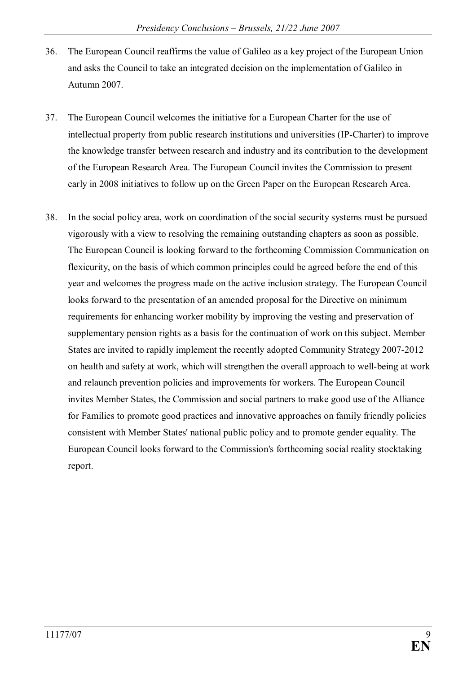- 36. The European Council reaffirms the value of Galileo as a key project of the European Union and asks the Council to take an integrated decision on the implementation of Galileo in Autumn 2007.
- 37. The European Council welcomes the initiative for a European Charter for the use of intellectual property from public research institutions and universities (IP-Charter) to improve the knowledge transfer between research and industry and its contribution to the development of the European Research Area. The European Council invites the Commission to present early in 2008 initiatives to follow up on the Green Paper on the European Research Area.
- 38. In the social policy area, work on coordination of the social security systems must be pursued vigorously with a view to resolving the remaining outstanding chapters as soon as possible. The European Council is looking forward to the forthcoming Commission Communication on flexicurity, on the basis of which common principles could be agreed before the end of this year and welcomes the progress made on the active inclusion strategy. The European Council looks forward to the presentation of an amended proposal for the Directive on minimum requirements for enhancing worker mobility by improving the vesting and preservation of supplementary pension rights as a basis for the continuation of work on this subject. Member States are invited to rapidly implement the recently adopted Community Strategy 2007-2012 on health and safety at work, which will strengthen the overall approach to well-being at work and relaunch prevention policies and improvements for workers. The European Council invites Member States, the Commission and social partners to make good use of the Alliance for Families to promote good practices and innovative approaches on family friendly policies consistent with Member States' national public policy and to promote gender equality. The European Council looks forward to the Commission's forthcoming social reality stocktaking report.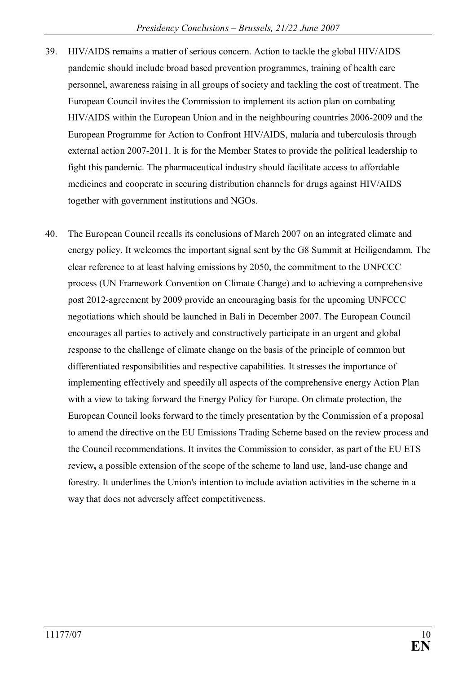- 39. HIV/AIDS remains a matter of serious concern. Action to tackle the global HIV/AIDS pandemic should include broad based prevention programmes, training of health care personnel, awareness raising in all groups of society and tackling the cost of treatment. The European Council invites the Commission to implement its action plan on combating HIV/AIDS within the European Union and in the neighbouring countries 2006-2009 and the European Programme for Action to Confront HIV/AIDS, malaria and tuberculosis through external action 2007-2011. It is for the Member States to provide the political leadership to fight this pandemic. The pharmaceutical industry should facilitate access to affordable medicines and cooperate in securing distribution channels for drugs against HIV/AIDS together with government institutions and NGOs.
- 40. The European Council recalls its conclusions of March 2007 on an integrated climate and energy policy. It welcomes the important signal sent by the G8 Summit at Heiligendamm. The clear reference to at least halving emissions by 2050, the commitment to the UNFCCC process (UN Framework Convention on Climate Change) and to achieving a comprehensive post 2012-agreement by 2009 provide an encouraging basis for the upcoming UNFCCC negotiations which should be launched in Bali in December 2007. The European Council encourages all parties to actively and constructively participate in an urgent and global response to the challenge of climate change on the basis of the principle of common but differentiated responsibilities and respective capabilities. It stresses the importance of implementing effectively and speedily all aspects of the comprehensive energy Action Plan with a view to taking forward the Energy Policy for Europe. On climate protection, the European Council looks forward to the timely presentation by the Commission of a proposal to amend the directive on the EU Emissions Trading Scheme based on the review process and the Council recommendations. It invites the Commission to consider, as part of the EU ETS review, a possible extension of the scope of the scheme to land use, land-use change and forestry. It underlines the Union's intention to include aviation activities in the scheme in a way that does not adversely affect competitiveness.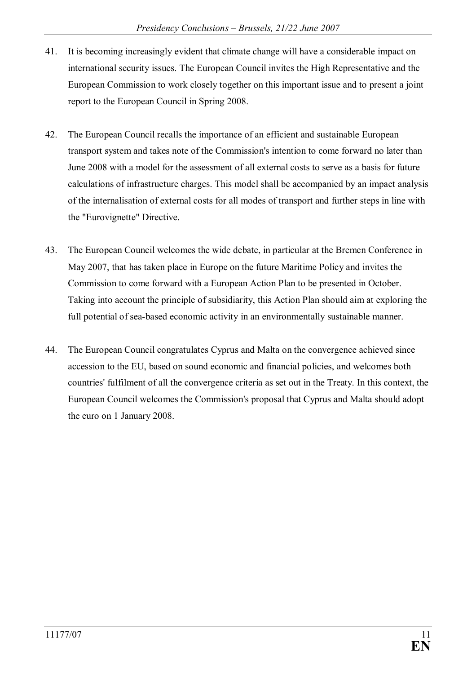- 41. It is becoming increasingly evident that climate change will have a considerable impact on international security issues. The European Council invites the High Representative and the European Commission to work closely together on this important issue and to present a joint report to the European Council in Spring 2008.
- 42. The European Council recalls the importance of an efficient and sustainable European transport system and takes note of the Commission's intention to come forward no later than June 2008 with a model for the assessment of all external costs to serve as a basis for future calculations of infrastructure charges. This model shall be accompanied by an impact analysis of the internalisation of external costs for all modes of transport and further steps in line with the "Eurovignette" Directive.
- 43. The European Council welcomes the wide debate, in particular at the Bremen Conference in May 2007, that has taken place in Europe on the future Maritime Policy and invites the Commission to come forward with a European Action Plan to be presented in October. Taking into account the principle of subsidiarity, this Action Plan should aim at exploring the full potential of sea-based economic activity in an environmentally sustainable manner.
- 44. The European Council congratulates Cyprus and Malta on the convergence achieved since accession to the EU, based on sound economic and financial policies, and welcomes both countries' fulfilment of all the convergence criteria as set out in the Treaty. In this context, the European Council welcomes the Commission's proposal that Cyprus and Malta should adopt the euro on 1 January 2008.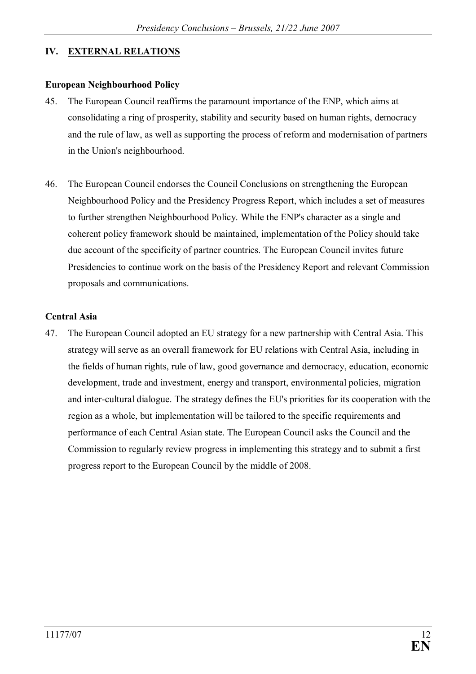# IV. EXTERNAL RELATIONS

#### European Neighbourhood Policy

- 45. The European Council reaffirms the paramount importance of the ENP, which aims at consolidating a ring of prosperity, stability and security based on human rights, democracy and the rule of law, as well as supporting the process of reform and modernisation of partners in the Union's neighbourhood.
- 46. The European Council endorses the Council Conclusions on strengthening the European Neighbourhood Policy and the Presidency Progress Report, which includes a set of measures to further strengthen Neighbourhood Policy. While the ENP's character as a single and coherent policy framework should be maintained, implementation of the Policy should take due account of the specificity of partner countries. The European Council invites future Presidencies to continue work on the basis of the Presidency Report and relevant Commission proposals and communications.

#### Central Asia

47. The European Council adopted an EU strategy for a new partnership with Central Asia. This strategy will serve as an overall framework for EU relations with Central Asia, including in the fields of human rights, rule of law, good governance and democracy, education, economic development, trade and investment, energy and transport, environmental policies, migration and inter-cultural dialogue. The strategy defines the EU's priorities for its cooperation with the region as a whole, but implementation will be tailored to the specific requirements and performance of each Central Asian state. The European Council asks the Council and the Commission to regularly review progress in implementing this strategy and to submit a first progress report to the European Council by the middle of 2008.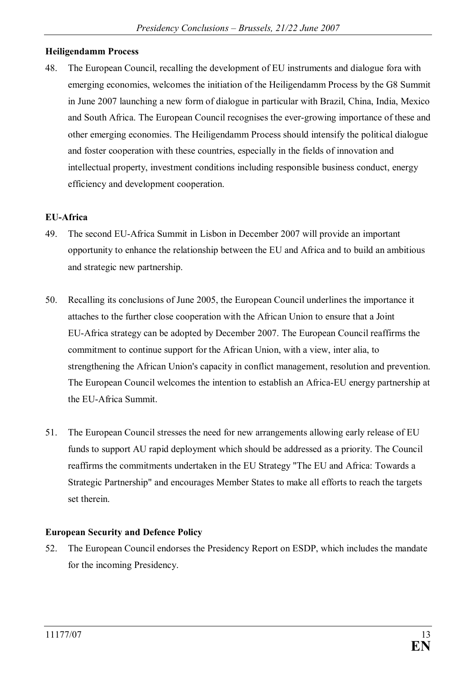#### Heiligendamm Process

48. The European Council, recalling the development of EU instruments and dialogue fora with emerging economies, welcomes the initiation of the Heiligendamm Process by the G8 Summit in June 2007 launching a new form of dialogue in particular with Brazil, China, India, Mexico and South Africa. The European Council recognises the ever-growing importance of these and other emerging economies. The Heiligendamm Process should intensify the political dialogue and foster cooperation with these countries, especially in the fields of innovation and intellectual property, investment conditions including responsible business conduct, energy efficiency and development cooperation.

#### EU-Africa

- 49. The second EU-Africa Summit in Lisbon in December 2007 will provide an important opportunity to enhance the relationship between the EU and Africa and to build an ambitious and strategic new partnership.
- 50. Recalling its conclusions of June 2005, the European Council underlines the importance it attaches to the further close cooperation with the African Union to ensure that a Joint EU-Africa strategy can be adopted by December 2007. The European Council reaffirms the commitment to continue support for the African Union, with a view, inter alia, to strengthening the African Union's capacity in conflict management, resolution and prevention. The European Council welcomes the intention to establish an Africa-EU energy partnership at the EU-Africa Summit.
- 51. The European Council stresses the need for new arrangements allowing early release of EU funds to support AU rapid deployment which should be addressed as a priority. The Council reaffirms the commitments undertaken in the EU Strategy "The EU and Africa: Towards a Strategic Partnership" and encourages Member States to make all efforts to reach the targets set therein.

#### European Security and Defence Policy

52. The European Council endorses the Presidency Report on ESDP, which includes the mandate for the incoming Presidency.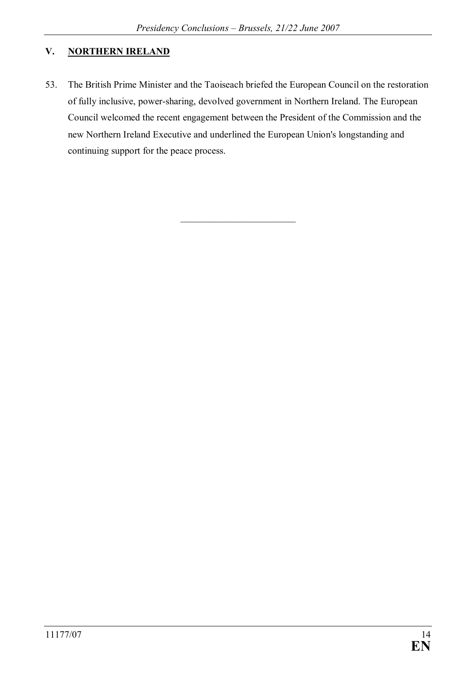# V. NORTHERN IRELAND

53. The British Prime Minister and the Taoiseach briefed the European Council on the restoration of fully inclusive, power-sharing, devolved government in Northern Ireland. The European Council welcomed the recent engagement between the President of the Commission and the new Northern Ireland Executive and underlined the European Union's longstanding and continuing support for the peace process.

\_\_\_\_\_\_\_\_\_\_\_\_\_\_\_\_\_\_\_\_\_\_\_\_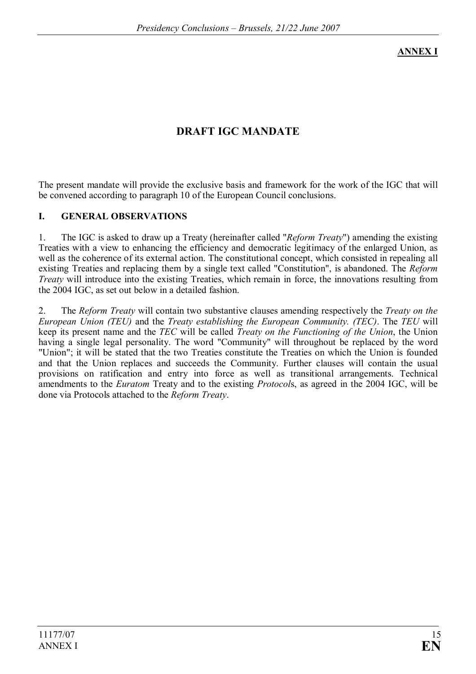ANNEX I

# DRAFT IGC MANDATE

The present mandate will provide the exclusive basis and framework for the work of the IGC that will be convened according to paragraph 10 of the European Council conclusions.

#### I. GENERAL OBSERVATIONS

1. The IGC is asked to draw up a Treaty (hereinafter called "Reform Treaty") amending the existing Treaties with a view to enhancing the efficiency and democratic legitimacy of the enlarged Union, as well as the coherence of its external action. The constitutional concept, which consisted in repealing all existing Treaties and replacing them by a single text called "Constitution", is abandoned. The Reform Treaty will introduce into the existing Treaties, which remain in force, the innovations resulting from the 2004 IGC, as set out below in a detailed fashion.

2. The Reform Treaty will contain two substantive clauses amending respectively the Treaty on the European Union (TEU) and the Treaty establishing the European Community. (TEC). The TEU will keep its present name and the TEC will be called Treaty on the Functioning of the Union, the Union having a single legal personality. The word "Community" will throughout be replaced by the word "Union"; it will be stated that the two Treaties constitute the Treaties on which the Union is founded and that the Union replaces and succeeds the Community. Further clauses will contain the usual provisions on ratification and entry into force as well as transitional arrangements. Technical amendments to the Euratom Treaty and to the existing Protocols, as agreed in the 2004 IGC, will be done via Protocols attached to the Reform Treaty.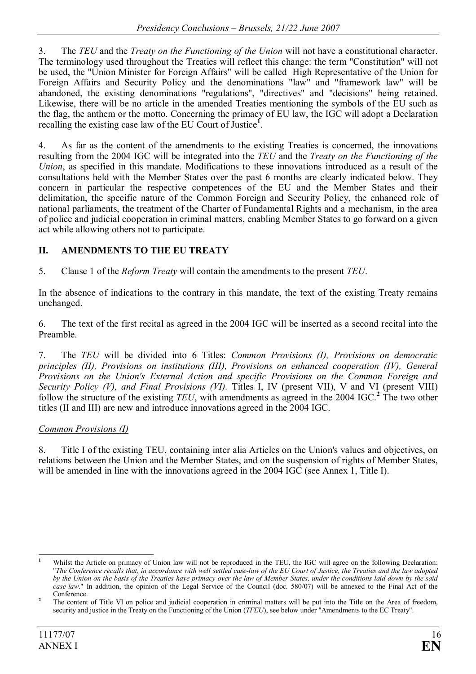3. The TEU and the Treaty on the Functioning of the Union will not have a constitutional character. The terminology used throughout the Treaties will reflect this change: the term "Constitution" will not be used, the "Union Minister for Foreign Affairs" will be called High Representative of the Union for Foreign Affairs and Security Policy and the denominations "law" and "framework law" will be abandoned, the existing denominations "regulations", "directives" and "decisions" being retained. Likewise, there will be no article in the amended Treaties mentioning the symbols of the EU such as the flag, the anthem or the motto. Concerning the primacy of EU law, the IGC will adopt a Declaration recalling the existing case law of the EU Court of Justice<sup>1</sup>.

4. As far as the content of the amendments to the existing Treaties is concerned, the innovations resulting from the 2004 IGC will be integrated into the TEU and the Treaty on the Functioning of the Union, as specified in this mandate. Modifications to these innovations introduced as a result of the consultations held with the Member States over the past 6 months are clearly indicated below. They concern in particular the respective competences of the EU and the Member States and their delimitation, the specific nature of the Common Foreign and Security Policy, the enhanced role of national parliaments, the treatment of the Charter of Fundamental Rights and a mechanism, in the area of police and judicial cooperation in criminal matters, enabling Member States to go forward on a given act while allowing others not to participate.

### II. AMENDMENTS TO THE EU TREATY

5. Clause 1 of the Reform Treaty will contain the amendments to the present TEU.

In the absence of indications to the contrary in this mandate, the text of the existing Treaty remains unchanged.

6. The text of the first recital as agreed in the 2004 IGC will be inserted as a second recital into the Preamble.

7. The TEU will be divided into 6 Titles: Common Provisions (I), Provisions on democratic principles (II), Provisions on institutions (III), Provisions on enhanced cooperation (IV), General Provisions on the Union's External Action and specific Provisions on the Common Foreign and Security Policy (V), and Final Provisions (VI). Titles I, IV (present VII), V and VI (present VIII) follow the structure of the existing  $TEU$ , with amendments as agreed in the 2004 IGC.<sup>2</sup> The two other titles (II and III) are new and introduce innovations agreed in the 2004 IGC.

#### Common Provisions (I)

8. Title I of the existing TEU, containing inter alia Articles on the Union's values and objectives, on relations between the Union and the Member States, and on the suspension of rights of Member States, will be amended in line with the innovations agreed in the 2004 IGC (see Annex 1, Title I).

 1 Whilst the Article on primacy of Union law will not be reproduced in the TEU, the IGC will agree on the following Declaration: "The Conference recalls that, in accordance with well settled case-law of the EU Court of Justice, the Treaties and the law adopted by the Union on the basis of the Treaties have primacy over the law of Member States, under the conditions laid down by the said case-law." In addition, the opinion of the Legal Service of the Council (doc. 580/07) will be annexed to the Final Act of the Conference.

<sup>2</sup> The content of Title VI on police and judicial cooperation in criminal matters will be put into the Title on the Area of freedom, security and justice in the Treaty on the Functioning of the Union (*TFEU*), see below under "Amendments to the EC Treaty".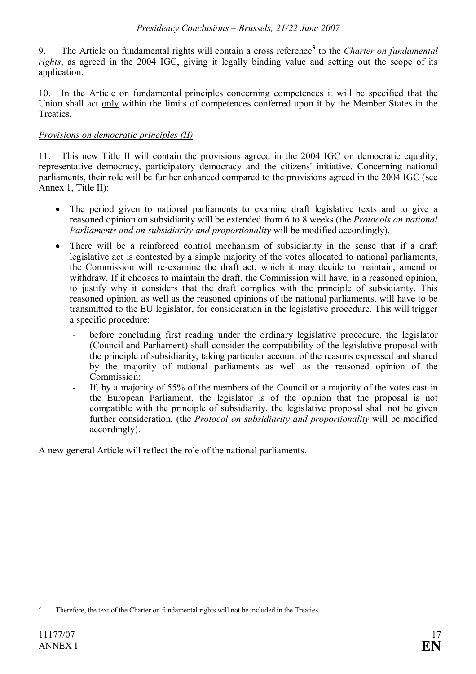9. The Article on fundamental rights will contain a cross reference<sup>3</sup> to the Charter on fundamental rights, as agreed in the 2004 IGC, giving it legally binding value and setting out the scope of its application.

10. In the Article on fundamental principles concerning competences it will be specified that the Union shall act only within the limits of competences conferred upon it by the Member States in the Treaties.

# Provisions on democratic principles (II)

11. This new Title II will contain the provisions agreed in the 2004 IGC on democratic equality, representative democracy, participatory democracy and the citizens' initiative. Concerning national parliaments, their role will be further enhanced compared to the provisions agreed in the 2004 IGC (see Annex 1, Title II):

- The period given to national parliaments to examine draft legislative texts and to give a reasoned opinion on subsidiarity will be extended from 6 to 8 weeks (the Protocols on national Parliaments and on subsidiarity and proportionality will be modified accordingly).
- There will be a reinforced control mechanism of subsidiarity in the sense that if a draft legislative act is contested by a simple majority of the votes allocated to national parliaments, the Commission will re-examine the draft act, which it may decide to maintain, amend or withdraw. If it chooses to maintain the draft, the Commission will have, in a reasoned opinion, to justify why it considers that the draft complies with the principle of subsidiarity. This reasoned opinion, as well as the reasoned opinions of the national parliaments, will have to be transmitted to the EU legislator, for consideration in the legislative procedure. This will trigger a specific procedure:
	- before concluding first reading under the ordinary legislative procedure, the legislator (Council and Parliament) shall consider the compatibility of the legislative proposal with the principle of subsidiarity, taking particular account of the reasons expressed and shared by the majority of national parliaments as well as the reasoned opinion of the Commission;
	- If, by a majority of 55% of the members of the Council or a majority of the votes cast in the European Parliament, the legislator is of the opinion that the proposal is not compatible with the principle of subsidiarity, the legislative proposal shall not be given further consideration. (the Protocol on subsidiarity and proportionality will be modified accordingly).

A new general Article will reflect the role of the national parliaments.

 3 Therefore, the text of the Charter on fundamental rights will not be included in the Treaties.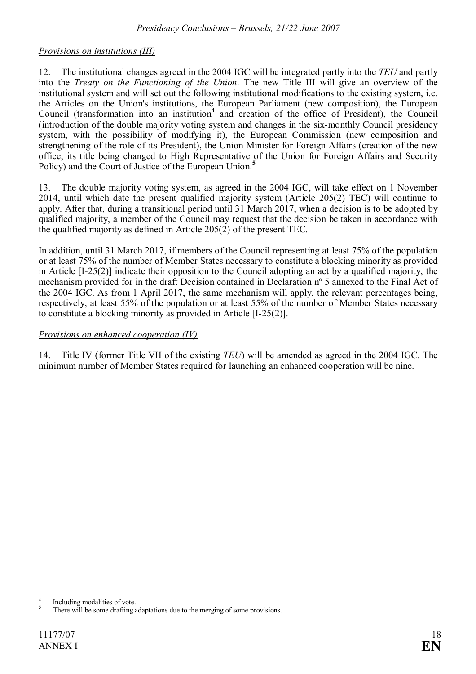### Provisions on institutions (III)

12. The institutional changes agreed in the 2004 IGC will be integrated partly into the TEU and partly into the Treaty on the Functioning of the Union. The new Title III will give an overview of the institutional system and will set out the following institutional modifications to the existing system, i.e. the Articles on the Union's institutions, the European Parliament (new composition), the European Council (transformation into an institution<sup>4</sup> and creation of the office of President), the Council (introduction of the double majority voting system and changes in the six-monthly Council presidency system, with the possibility of modifying it), the European Commission (new composition and strengthening of the role of its President), the Union Minister for Foreign Affairs (creation of the new office, its title being changed to High Representative of the Union for Foreign Affairs and Security Policy) and the Court of Justice of the European Union.<sup>5</sup>

13. The double majority voting system, as agreed in the 2004 IGC, will take effect on 1 November 2014, until which date the present qualified majority system (Article 205(2) TEC) will continue to apply. After that, during a transitional period until 31 March 2017, when a decision is to be adopted by qualified majority, a member of the Council may request that the decision be taken in accordance with the qualified majority as defined in Article 205(2) of the present TEC.

In addition, until 31 March 2017, if members of the Council representing at least 75% of the population or at least 75% of the number of Member States necessary to constitute a blocking minority as provided in Article [I-25(2)] indicate their opposition to the Council adopting an act by a qualified majority, the mechanism provided for in the draft Decision contained in Declaration nº 5 annexed to the Final Act of the 2004 IGC. As from 1 April 2017, the same mechanism will apply, the relevant percentages being, respectively, at least 55% of the population or at least 55% of the number of Member States necessary to constitute a blocking minority as provided in Article [I-25(2)].

#### Provisions on enhanced cooperation (IV)

14. Title IV (former Title VII of the existing TEU) will be amended as agreed in the 2004 IGC. The minimum number of Member States required for launching an enhanced cooperation will be nine.

 $\overline{\phantom{a}}$ 4 Including modalities of vote.

<sup>5</sup> There will be some drafting adaptations due to the merging of some provisions.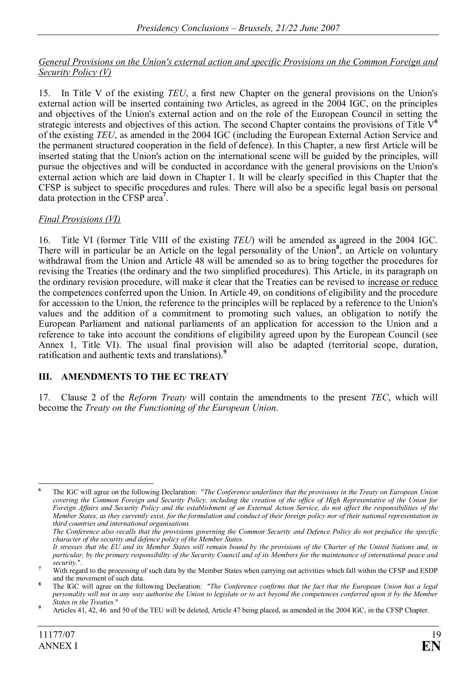#### General Provisions on the Union's external action and specific Provisions on the Common Foreign and Security Policy (V)

15. In Title V of the existing TEU, a first new Chapter on the general provisions on the Union's external action will be inserted containing two Articles, as agreed in the 2004 IGC, on the principles and objectives of the Union's external action and on the role of the European Council in setting the strategic interests and objectives of this action. The second Chapter contains the provisions of Title  $V^6$ of the existing TEU, as amended in the 2004 IGC (including the European External Action Service and the permanent structured cooperation in the field of defence). In this Chapter, a new first Article will be inserted stating that the Union's action on the international scene will be guided by the principles, will pursue the objectives and will be conducted in accordance with the general provisions on the Union's external action which are laid down in Chapter 1. It will be clearly specified in this Chapter that the CFSP is subject to specific procedures and rules. There will also be a specific legal basis on personal data protection in the CFSP area<sup>7</sup>.

#### Final Provisions (VI)

16. Title VI (former Title VIII of the existing TEU) will be amended as agreed in the 2004 IGC. There will in particular be an Article on the legal personality of the Union<sup>8</sup>, an Article on voluntary withdrawal from the Union and Article 48 will be amended so as to bring together the procedures for revising the Treaties (the ordinary and the two simplified procedures). This Article, in its paragraph on the ordinary revision procedure, will make it clear that the Treaties can be revised to increase or reduce the competences conferred upon the Union. In Article 49, on conditions of eligibility and the procedure for accession to the Union, the reference to the principles will be replaced by a reference to the Union's values and the addition of a commitment to promoting such values, an obligation to notify the European Parliament and national parliaments of an application for accession to the Union and a reference to take into account the conditions of eligibility agreed upon by the European Council (see Annex 1, Title VI). The usual final provision will also be adapted (territorial scope, duration, ratification and authentic texts and translations).<sup>9</sup>

#### III. AMENDMENTS TO THE EC TREATY

17. Clause 2 of the Reform Treaty will contain the amendments to the present TEC, which will become the Treaty on the Functioning of the European Union.

 $\frac{1}{6}$ The IGC will agree on the following Declaration: "The Conference underlines that the provisions in the Treaty on European Union covering the Common Foreign and Security Policy, including the creation of the office of High Representative of the Union for Foreign Affairs and Security Policy and the establishment of an External Action Service, do not affect the responsibilities of the Member States, as they currently exist, for the formulation and conduct of their foreign policy nor of their national representation in third countries and international organisations.

The Conference also recalls that the provisions governing the Common Security and Defence Policy do not prejudice the specific character of the security and defence policy of the Member States.

It stresses that the EU and its Member States will remain bound by the provisions of the Charter of the United Nations and, in particular, by the primary responsibility of the Security Council and of its Members for the maintenance of international peace and security.".

<sup>7</sup> With regard to the processing of such data by the Member States when carrying out activities which fall within the CFSP and ESDP and the movement of such data.

<sup>8</sup> The IGC will agree on the following Declaration: "The Conference confirms that the fact that the European Union has a legal personality will not in any way authorise the Union to legislate or to act beyond the competences conferred upon it by the Member States in the Treaties."

<sup>9</sup> Articles 41, 42, 46 and 50 of the TEU will be deleted, Article 47 being placed, as amended in the 2004 IGC, in the CFSP Chapter.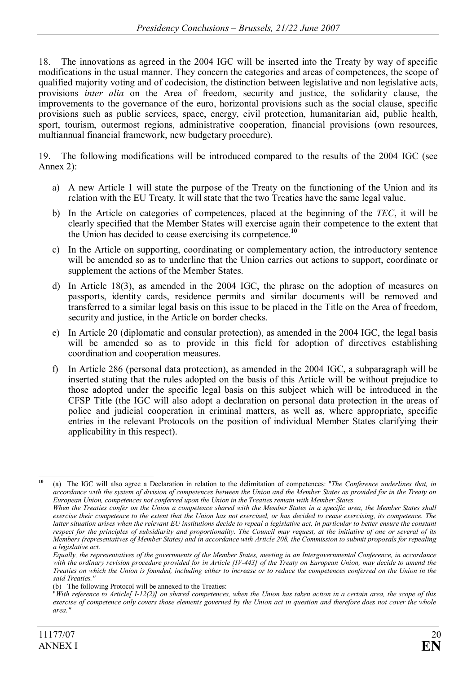18. The innovations as agreed in the 2004 IGC will be inserted into the Treaty by way of specific modifications in the usual manner. They concern the categories and areas of competences, the scope of qualified majority voting and of codecision, the distinction between legislative and non legislative acts, provisions inter alia on the Area of freedom, security and justice, the solidarity clause, the improvements to the governance of the euro, horizontal provisions such as the social clause, specific provisions such as public services, space, energy, civil protection, humanitarian aid, public health, sport, tourism, outermost regions, administrative cooperation, financial provisions (own resources, multiannual financial framework, new budgetary procedure).

19. The following modifications will be introduced compared to the results of the 2004 IGC (see Annex 2):

- a) A new Article 1 will state the purpose of the Treaty on the functioning of the Union and its relation with the EU Treaty. It will state that the two Treaties have the same legal value.
- b) In the Article on categories of competences, placed at the beginning of the TEC, it will be clearly specified that the Member States will exercise again their competence to the extent that the Union has decided to cease exercising its competence.<sup>10</sup>
- c) In the Article on supporting, coordinating or complementary action, the introductory sentence will be amended so as to underline that the Union carries out actions to support, coordinate or supplement the actions of the Member States.
- d) In Article 18(3), as amended in the 2004 IGC, the phrase on the adoption of measures on passports, identity cards, residence permits and similar documents will be removed and transferred to a similar legal basis on this issue to be placed in the Title on the Area of freedom, security and justice, in the Article on border checks.
- e) In Article 20 (diplomatic and consular protection), as amended in the 2004 IGC, the legal basis will be amended so as to provide in this field for adoption of directives establishing coordination and cooperation measures.
- f) In Article 286 (personal data protection), as amended in the 2004 IGC, a subparagraph will be inserted stating that the rules adopted on the basis of this Article will be without prejudice to those adopted under the specific legal basis on this subject which will be introduced in the CFSP Title (the IGC will also adopt a declaration on personal data protection in the areas of police and judicial cooperation in criminal matters, as well as, where appropriate, specific entries in the relevant Protocols on the position of individual Member States clarifying their applicability in this respect).

 $10$ <sup>10</sup> (a) The IGC will also agree a Declaration in relation to the delimitation of competences: "The Conference underlines that, in accordance with the system of division of competences between the Union and the Member States as provided for in the Treaty on European Union, competences not conferred upon the Union in the Treaties remain with Member States.

When the Treaties confer on the Union a competence shared with the Member States in a specific area, the Member States shall exercise their competence to the extent that the Union has not exercised, or has decided to cease exercising, its competence. The latter situation arises when the relevant EU institutions decide to repeal a legislative act, in particular to better ensure the constant respect for the principles of subsidiarity and proportionality. The Council may request, at the initiative of one or several of its Members (representatives of Member States) and in accordance with Article 208, the Commission to submit proposals for repealing a legislative act.

Equally, the representatives of the governments of the Member States, meeting in an Intergovernmental Conference, in accordance with the ordinary revision procedure provided for in Article [IV-443] of the Treaty on European Union, may decide to amend the Treaties on which the Union is founded, including either to increase or to reduce the competences conferred on the Union in the said Treaties."

<sup>(</sup>b) The following Protocol will be annexed to the Treaties:

 $\mathbb{R}^N$ With reference to Article[ I-12(2)] on shared competences, when the Union has taken action in a certain area, the scope of this exercise of competence only covers those elements governed by the Union act in question and therefore does not cover the whole area."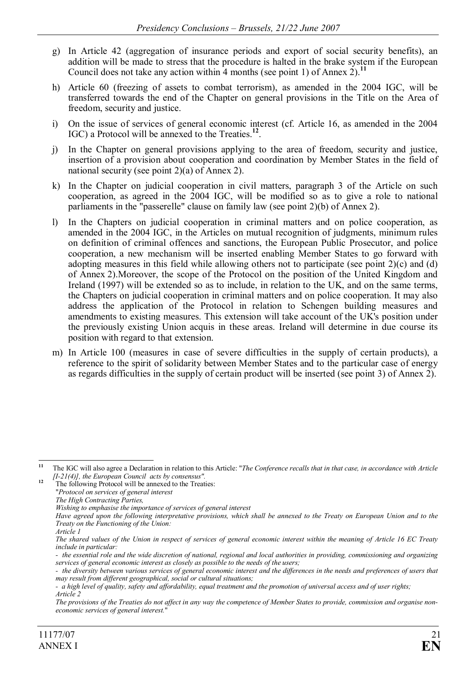- g) In Article 42 (aggregation of insurance periods and export of social security benefits), an addition will be made to stress that the procedure is halted in the brake system if the European Council does not take any action within 4 months (see point [1\)](#page-28-0) of Annex  $2$ ).<sup>11</sup>
- h) Article 60 (freezing of assets to combat terrorism), as amended in the 2004 IGC, will be transferred towards the end of the Chapter on general provisions in the Title on the Area of freedom, security and justice.
- i) On the issue of services of general economic interest (cf. Article 16, as amended in the 2004 IGC) a Protocol will be annexed to the Treaties.<sup>12</sup>.
- j) In the Chapter on general provisions applying to the area of freedom, security and justice, insertion of a provision about cooperation and coordination by Member States in the field of national security (see point [2\)](#page-28-0)(a) of Annex 2).
- k) In the Chapter on judicial cooperation in civil matters, paragraph 3 of the Article on such cooperation, as agreed in the 2004 IGC, will be modified so as to give a role to national parliaments in the "passerelle" clause on family law (see point [2\)](#page-28-0)(b) of Annex 2).
- l) In the Chapters on judicial cooperation in criminal matters and on police cooperation, as amended in the 2004 IGC, in the Articles on mutual recognition of judgments, minimum rules on definition of criminal offences and sanctions, the European Public Prosecutor, and police cooperation, a new mechanism will be inserted enabling Member States to go forward with adopting measures in this field while allowing others not to participate (see point [2\)](#page-28-0)(c) and (d) of Annex 2).Moreover, the scope of the Protocol on the position of the United Kingdom and Ireland (1997) will be extended so as to include, in relation to the UK, and on the same terms, the Chapters on judicial cooperation in criminal matters and on police cooperation. It may also address the application of the Protocol in relation to Schengen building measures and amendments to existing measures. This extension will take account of the UK's position under the previously existing Union acquis in these areas. Ireland will determine in due course its position with regard to that extension.
- m) In Article 100 (measures in case of severe difficulties in the supply of certain products), a reference to the spirit of solidarity between Member States and to the particular case of energy as regards difficulties in the supply of certain product will be inserted (see point [3\)](#page-29-0) of Annex 2).

 $12 \int_{12}^{12}$  The following Protocol will be annexed to the Treaties:

"Protocol on services of general interest

 $11$ The IGC will also agree a Declaration in relation to this Article: "The Conference recalls that in that case, in accordance with Article  $[I-21(4)]$ , the European Council acts by consensus".

The High Contracting Parties,

Wishing to emphasise the importance of services of general interest

Have agreed upon the following interpretative provisions, which shall be annexed to the Treaty on European Union and to the Treaty on the Functioning of the Union:

Article 1

The shared values of the Union in respect of services of general economic interest within the meaning of Article 16 EC Treaty include in particular:

<sup>-</sup> the essential role and the wide discretion of national, regional and local authorities in providing, commissioning and organizing services of general economic interest as closely as possible to the needs of the users;

<sup>-</sup> the diversity between various services of general economic interest and the differences in the needs and preferences of users that may result from different geographical, social or cultural situations;

<sup>-</sup> a high level of quality, safety and affordability, equal treatment and the promotion of universal access and of user rights; Article 2

The provisions of the Treaties do not affect in any way the competence of Member States to provide, commission and organise noneconomic services of general interest."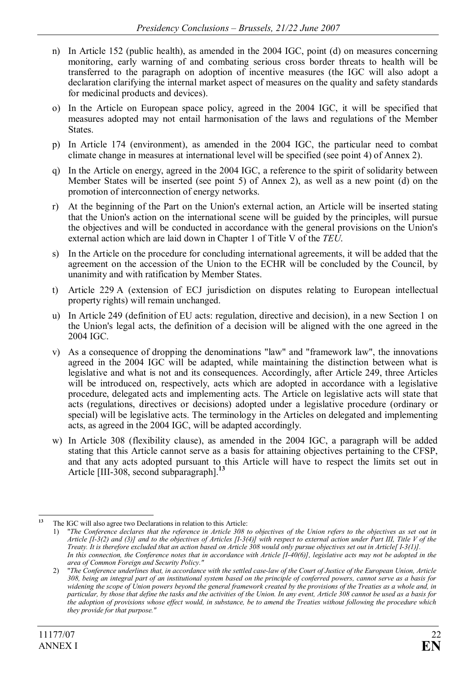- n) In Article 152 (public health), as amended in the 2004 IGC, point (d) on measures concerning monitoring, early warning of and combating serious cross border threats to health will be transferred to the paragraph on adoption of incentive measures (the IGC will also adopt a declaration clarifying the internal market aspect of measures on the quality and safety standards for medicinal products and devices).
- o) In the Article on European space policy, agreed in the 2004 IGC, it will be specified that measures adopted may not entail harmonisation of the laws and regulations of the Member States.
- p) In Article 174 (environment), as amended in the 2004 IGC, the particular need to combat climate change in measures at international level will be specified (see point [4\)](#page-29-0) of Annex 2).
- q) In the Article on energy, agreed in the 2004 IGC, a reference to the spirit of solidarity between Member States will be inserted (see point [5\)](#page-29-0) of Annex 2), as well as a new point (d) on the promotion of interconnection of energy networks.
- r) At the beginning of the Part on the Union's external action, an Article will be inserted stating that the Union's action on the international scene will be guided by the principles, will pursue the objectives and will be conducted in accordance with the general provisions on the Union's external action which are laid down in Chapter 1 of Title V of the TEU.
- s) In the Article on the procedure for concluding international agreements, it will be added that the agreement on the accession of the Union to the ECHR will be concluded by the Council, by unanimity and with ratification by Member States.
- t) Article 229 A (extension of ECJ jurisdiction on disputes relating to European intellectual property rights) will remain unchanged.
- u) In Article 249 (definition of EU acts: regulation, directive and decision), in a new Section 1 on the Union's legal acts, the definition of a decision will be aligned with the one agreed in the 2004 IGC.
- v) As a consequence of dropping the denominations "law" and "framework law", the innovations agreed in the 2004 IGC will be adapted, while maintaining the distinction between what is legislative and what is not and its consequences. Accordingly, after Article 249, three Articles will be introduced on, respectively, acts which are adopted in accordance with a legislative procedure, delegated acts and implementing acts. The Article on legislative acts will state that acts (regulations, directives or decisions) adopted under a legislative procedure (ordinary or special) will be legislative acts. The terminology in the Articles on delegated and implementing acts, as agreed in the 2004 IGC, will be adapted accordingly.
- w) In Article 308 (flexibility clause), as amended in the 2004 IGC, a paragraph will be added stating that this Article cannot serve as a basis for attaining objectives pertaining to the CFSP, and that any acts adopted pursuant to this Article will have to respect the limits set out in Article [III-308, second subparagraph].<sup>13</sup>

 $13$ The IGC will also agree two Declarations in relation to this Article:

<sup>1) &</sup>quot;The Conference declares that the reference in Article 308 to objectives of the Union refers to the objectives as set out in Article [I-3(2) and (3)] and to the objectives of Articles [I-3(4)] with respect to external action under Part III, Title V of the Treaty. It is therefore excluded that an action based on Article 308 would only pursue objectives set out in Article[ I-3(1)]. In this connection, the Conference notes that in accordance with Article  $[I-40(6)]$ , legislative acts may not be adopted in the area of Common Foreign and Security Policy."

<sup>2) &</sup>quot;The Conference underlines that, in accordance with the settled case-law of the Court of Justice of the European Union, Article 308, being an integral part of an institutional system based on the principle of conferred powers, cannot serve as a basis for widening the scope of Union powers beyond the general framework created by the provisions of the Treaties as a whole and, in particular, by those that define the tasks and the activities of the Union. In any event, Article 308 cannot be used as a basis for the adoption of provisions whose effect would, in substance, be to amend the Treaties without following the procedure which they provide for that purpose."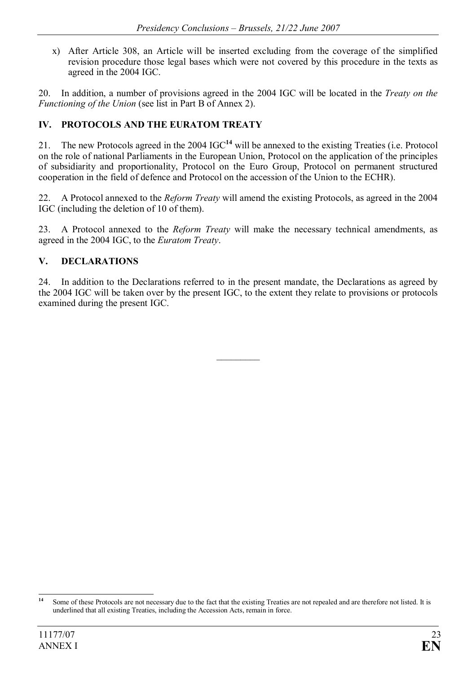x) After Article 308, an Article will be inserted excluding from the coverage of the simplified revision procedure those legal bases which were not covered by this procedure in the texts as agreed in the 2004 IGC.

20. In addition, a number of provisions agreed in the 2004 IGC will be located in the *Treaty on the* Functioning of the Union (see list in Part B of Annex 2).

# IV. PROTOCOLS AND THE EURATOM TREATY

21. The new Protocols agreed in the  $2004 \text{ IGC}^{14}$  will be annexed to the existing Treaties (i.e. Protocol on the role of national Parliaments in the European Union, Protocol on the application of the principles of subsidiarity and proportionality, Protocol on the Euro Group, Protocol on permanent structured cooperation in the field of defence and Protocol on the accession of the Union to the ECHR).

22. A Protocol annexed to the Reform Treaty will amend the existing Protocols, as agreed in the 2004 IGC (including the deletion of 10 of them).

23. A Protocol annexed to the Reform Treaty will make the necessary technical amendments, as agreed in the 2004 IGC, to the Euratom Treaty.

### V. DECLARATIONS

24. In addition to the Declarations referred to in the present mandate, the Declarations as agreed by the 2004 IGC will be taken over by the present IGC, to the extent they relate to provisions or protocols examined during the present IGC.

 $\frac{1}{2}$ 

 $\overline{14}$ Some of these Protocols are not necessary due to the fact that the existing Treaties are not repealed and are therefore not listed. It is underlined that all existing Treaties, including the Accession Acts, remain in force.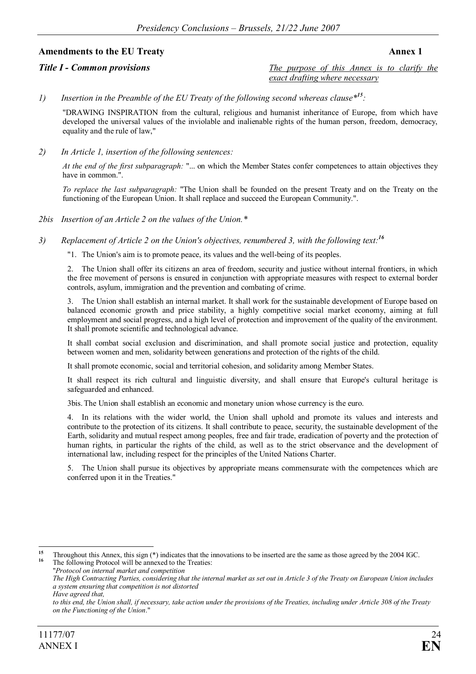#### Amendments to the EU Treaty Annex 1

Title I - Common provisions The purpose of this Annex is to clarify the exact drafting where necessary

#### 1) Insertion in the Preamble of the EU Treaty of the following second whereas clause $*^{15}$ .

"DRAWING INSPIRATION from the cultural, religious and humanist inheritance of Europe, from which have developed the universal values of the inviolable and inalienable rights of the human person, freedom, democracy, equality and the rule of law,"

2) In Article 1, insertion of the following sentences:

At the end of the first subparagraph: "... on which the Member States confer competences to attain objectives they have in common.".

To replace the last subparagraph: "The Union shall be founded on the present Treaty and on the Treaty on the functioning of the European Union. It shall replace and succeed the European Community.".

2bis Insertion of an Article 2 on the values of the Union.\*

3) Replacement of Article 2 on the Union's objectives, renumbered 3, with the following text:<sup>16</sup>

"1. The Union's aim is to promote peace, its values and the well-being of its peoples.

2. The Union shall offer its citizens an area of freedom, security and justice without internal frontiers, in which the free movement of persons is ensured in conjunction with appropriate measures with respect to external border controls, asylum, immigration and the prevention and combating of crime.

3. The Union shall establish an internal market. It shall work for the sustainable development of Europe based on balanced economic growth and price stability, a highly competitive social market economy, aiming at full employment and social progress, and a high level of protection and improvement of the quality of the environment. It shall promote scientific and technological advance.

It shall combat social exclusion and discrimination, and shall promote social justice and protection, equality between women and men, solidarity between generations and protection of the rights of the child.

It shall promote economic, social and territorial cohesion, and solidarity among Member States.

It shall respect its rich cultural and linguistic diversity, and shall ensure that Europe's cultural heritage is safeguarded and enhanced.

3bis. The Union shall establish an economic and monetary union whose currency is the euro.

4. In its relations with the wider world, the Union shall uphold and promote its values and interests and contribute to the protection of its citizens. It shall contribute to peace, security, the sustainable development of the Earth, solidarity and mutual respect among peoples, free and fair trade, eradication of poverty and the protection of human rights, in particular the rights of the child, as well as to the strict observance and the development of international law, including respect for the principles of the United Nations Charter.

5. The Union shall pursue its objectives by appropriate means commensurate with the competences which are conferred upon it in the Treaties."

 $15$ <sup>15</sup> Throughout this Annex, this sign (\*) indicates that the innovations to be inserted are the same as those agreed by the 2004 IGC. The following Protocol will be annexed to the Treaties:

<sup>&</sup>quot;Protocol on internal market and competition

The High Contracting Parties, considering that the internal market as set out in Article 3 of the Treaty on European Union includes a system ensuring that competition is not distorted Have agreed that,

to this end, the Union shall, if necessary, take action under the provisions of the Treaties, including under Article 308 of the Treaty on the Functioning of the Union."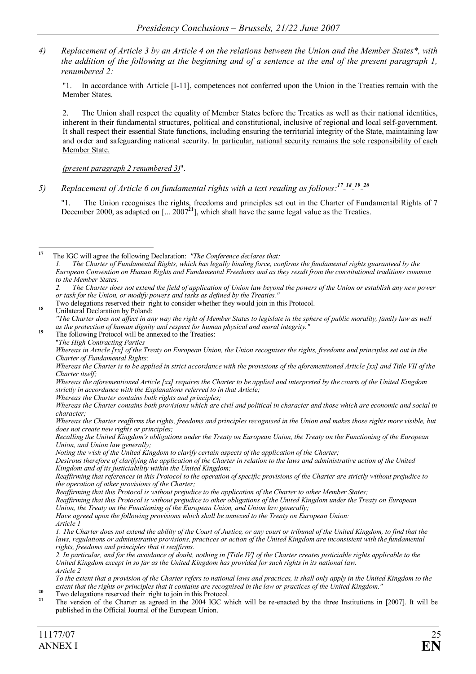4) Replacement of Article 3 by an Article 4 on the relations between the Union and the Member States\*, with the addition of the following at the beginning and of a sentence at the end of the present paragraph 1, renumbered 2:

"1. In accordance with Article [I-11], competences not conferred upon the Union in the Treaties remain with the Member States.

2. The Union shall respect the equality of Member States before the Treaties as well as their national identities, inherent in their fundamental structures, political and constitutional, inclusive of regional and local self-government. It shall respect their essential State functions, including ensuring the territorial integrity of the State, maintaining law and order and safeguarding national security. In particular, national security remains the sole responsibility of each Member State.

#### (present paragraph 2 renumbered 3)".

5) Replacement of Article 6 on fundamental rights with a text reading as follows:<sup>17\_18\_19\_20</sup>

"1. The Union recognises the rights, freedoms and principles set out in the Charter of Fundamental Rights of 7 December 2000, as adapted on  $\left[ \ldots 2007^{21} \right]$ , which shall have the same legal value as the Treaties.

 $17$ The IGC will agree the following Declaration: "The Conference declares that: 1. The Charter of Fundamental Rights, which has legally binding force, confirms the fundamental rights guaranteed by the European Convention on Human Rights and Fundamental Freedoms and as they result from the constitutional traditions common to the Member States.

Two delegations reserved their right to consider whether they would join in this Protocol.

<sup>18</sup> Unilateral Declaration by Poland: "The Charter does not affect in any way the right of Member States to legislate in the sphere of public morality, family law as well as the protection of human dignity and respect for human physical and moral integrity."

<sup>19</sup> The following Protocol will be annexed to the Treaties:

"The High Contracting Parties

Whereas the aforementioned Article [xx] requires the Charter to be applied and interpreted by the courts of the United Kingdom strictly in accordance with the Explanations referred to in that Article;

Whereas the Charter contains both rights and principles;

Whereas the Charter reaffirms the rights, freedoms and principles recognised in the Union and makes those rights more visible, but does not create new rights or principles;

Recalling the United Kingdom's obligations under the Treaty on European Union, the Treaty on the Functioning of the European Union, and Union law generally;

Noting the wish of the United Kingdom to clarify certain aspects of the application of the Charter;

Desirous therefore of clarifying the application of the Charter in relation to the laws and administrative action of the United Kingdom and of its justiciability within the United Kingdom;

Reaffirming that references in this Protocol to the operation of specific provisions of the Charter are strictly without prejudice to the operation of other provisions of the Charter;

Reaffirming that this Protocol is without prejudice to the application of the Charter to other Member States;

Reaffirming that this Protocol is without prejudice to other obligations of the United Kingdom under the Treaty on European Union, the Treaty on the Functioning of the European Union, and Union law generally;

Have agreed upon the following provisions which shall be annexed to the Treaty on European Union:

Article 1

1. The Charter does not extend the ability of the Court of Justice, or any court or tribunal of the United Kingdom, to find that the laws, regulations or administrative provisions, practices or action of the United Kingdom are inconsistent with the fundamental rights, freedoms and principles that it reaffirms.

2. In particular, and for the avoidance of doubt, nothing in [Title IV] of the Charter creates justiciable rights applicable to the United Kingdom except in so far as the United Kingdom has provided for such rights in its national law. Article 2

To the extent that a provision of the Charter refers to national laws and practices, it shall only apply in the United Kingdom to the extent that the rights or principles that it contains are recognised in the law or practices of the United Kingdom."

- <sup>20</sup><br><sup>20</sup> Two delegations reserved their right to join in this Protocol.<br><sup>21</sup> The species reserved their right to join in this Protocol.
- <sup>21</sup> The version of the Charter as agreed in the 2004 IGC which will be re-enacted by the three Institutions in [2007]. It will be published in the Official Journal of the European Union.

<sup>2.</sup> The Charter does not extend the field of application of Union law beyond the powers of the Union or establish any new power or task for the Union, or modify powers and tasks as defined by the Treaties."

Whereas in Article [xx] of the Treaty on European Union, the Union recognises the rights, freedoms and principles set out in the Charter of Fundamental Rights;

Whereas the Charter is to be applied in strict accordance with the provisions of the aforementioned Article [xx] and Title VII of the Charter itself;

Whereas the Charter contains both provisions which are civil and political in character and those which are economic and social in character;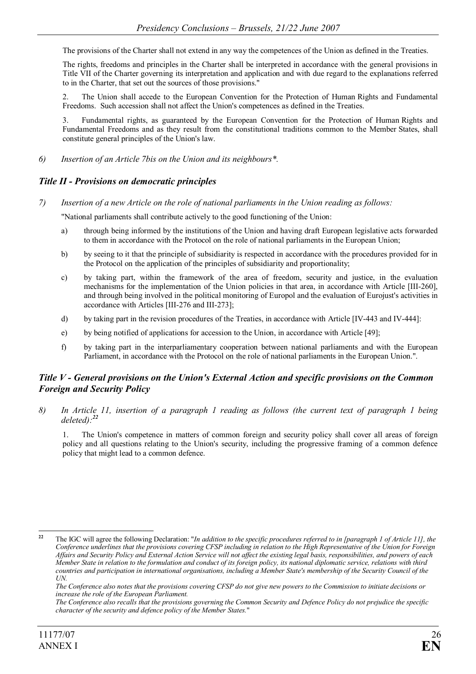The provisions of the Charter shall not extend in any way the competences of the Union as defined in the Treaties.

The rights, freedoms and principles in the Charter shall be interpreted in accordance with the general provisions in Title VII of the Charter governing its interpretation and application and with due regard to the explanations referred to in the Charter, that set out the sources of those provisions."

2. The Union shall accede to the European Convention for the Protection of Human Rights and Fundamental Freedoms. Such accession shall not affect the Union's competences as defined in the Treaties.

3. Fundamental rights, as guaranteed by the European Convention for the Protection of Human Rights and Fundamental Freedoms and as they result from the constitutional traditions common to the Member States, shall constitute general principles of the Union's law.

6) Insertion of an Article 7bis on the Union and its neighbours\*.

#### Title II - Provisions on democratic principles

7) Insertion of a new Article on the role of national parliaments in the Union reading as follows:

"National parliaments shall contribute actively to the good functioning of the Union:

- a) through being informed by the institutions of the Union and having draft European legislative acts forwarded to them in accordance with the Protocol on the role of national parliaments in the European Union;
- b) by seeing to it that the principle of subsidiarity is respected in accordance with the procedures provided for in the Protocol on the application of the principles of subsidiarity and proportionality;
- c) by taking part, within the framework of the area of freedom, security and justice, in the evaluation mechanisms for the implementation of the Union policies in that area, in accordance with Article [III-260], and through being involved in the political monitoring of Europol and the evaluation of Eurojust's activities in accordance with Articles [III-276 and III-273];
- d) by taking part in the revision procedures of the Treaties, in accordance with Article [IV-443 and IV-444]:
- e) by being notified of applications for accession to the Union, in accordance with Article [49];
- f) by taking part in the interparliamentary cooperation between national parliaments and with the European Parliament, in accordance with the Protocol on the role of national parliaments in the European Union.".

#### Title V - General provisions on the Union's External Action and specific provisions on the Common Foreign and Security Policy

8) In Article 11, insertion of a paragraph 1 reading as follows (the current text of paragraph 1 being  $deleted$ ): $^{22}$ 

1. The Union's competence in matters of common foreign and security policy shall cover all areas of foreign policy and all questions relating to the Union's security, including the progressive framing of a common defence policy that might lead to a common defence.

 $22$ The IGC will agree the following Declaration: "In addition to the specific procedures referred to in [paragraph 1 of Article 11], the Conference underlines that the provisions covering CFSP including in relation to the High Representative of the Union for Foreign Affairs and Security Policy and External Action Service will not affect the existing legal basis, responsibilities, and powers of each Member State in relation to the formulation and conduct of its foreign policy, its national diplomatic service, relations with third countries and participation in international organisations, including a Member State's membership of the Security Council of the  $IN$ 

The Conference also notes that the provisions covering CFSP do not give new powers to the Commission to initiate decisions or increase the role of the European Parliament.

The Conference also recalls that the provisions governing the Common Security and Defence Policy do not prejudice the specific character of the security and defence policy of the Member States."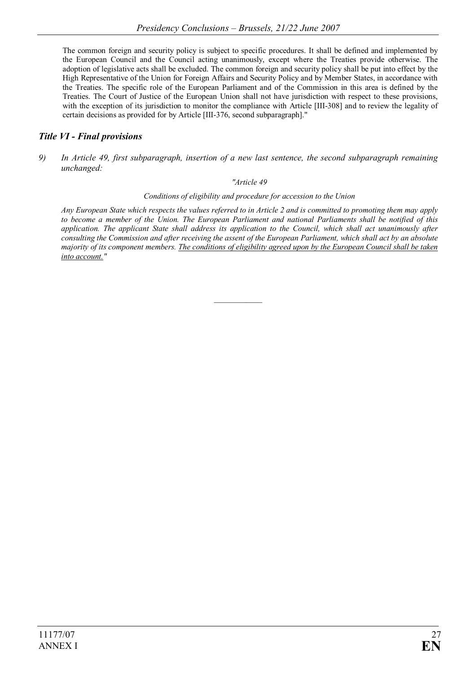The common foreign and security policy is subject to specific procedures. It shall be defined and implemented by the European Council and the Council acting unanimously, except where the Treaties provide otherwise. The adoption of legislative acts shall be excluded. The common foreign and security policy shall be put into effect by the High Representative of the Union for Foreign Affairs and Security Policy and by Member States, in accordance with the Treaties. The specific role of the European Parliament and of the Commission in this area is defined by the Treaties. The Court of Justice of the European Union shall not have jurisdiction with respect to these provisions, with the exception of its jurisdiction to monitor the compliance with Article [III-308] and to review the legality of certain decisions as provided for by Article [III-376, second subparagraph]."

#### Title VI - Final provisions

9) In Article 49, first subparagraph, insertion of a new last sentence, the second subparagraph remaining unchanged:

#### "Article 49

Conditions of eligibility and procedure for accession to the Union

Any European State which respects the values referred to in Article 2 and is committed to promoting them may apply to become a member of the Union. The European Parliament and national Parliaments shall be notified of this application. The applicant State shall address its application to the Council, which shall act unanimously after consulting the Commission and after receiving the assent of the European Parliament, which shall act by an absolute majority of its component members. The conditions of eligibility agreed upon by the European Council shall be taken into account."

 $\mathcal{L}$  , we have the set of  $\mathcal{L}$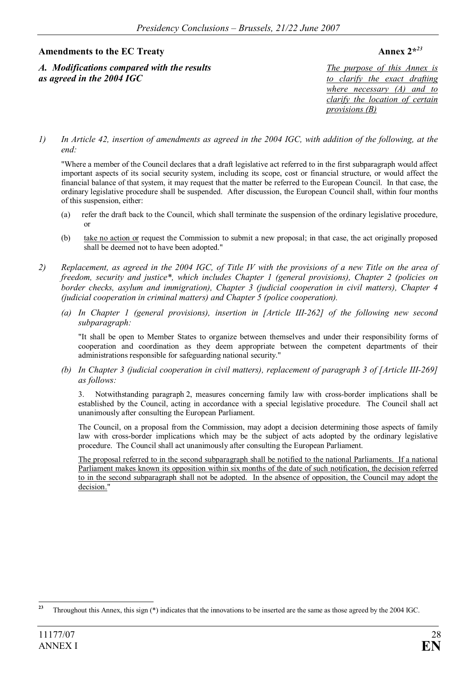#### <span id="page-28-0"></span>Amendments to the EC Treaty  $\mu$  and  $2^{*23}$

A. Modifications compared with the results The purpose of this Annex is as agreed in the 2004 IGC  $\frac{1}{10}$  to clarify the exact drafting

where necessary  $(A)$  and to clarify the location of certain provisions (B)

1) In Article 42, insertion of amendments as agreed in the 2004 IGC, with addition of the following, at the end:

"Where a member of the Council declares that a draft legislative act referred to in the first subparagraph would affect important aspects of its social security system, including its scope, cost or financial structure, or would affect the financial balance of that system, it may request that the matter be referred to the European Council. In that case, the ordinary legislative procedure shall be suspended. After discussion, the European Council shall, within four months of this suspension, either:

- (a) refer the draft back to the Council, which shall terminate the suspension of the ordinary legislative procedure, or
- (b) take no action or request the Commission to submit a new proposal; in that case, the act originally proposed shall be deemed not to have been adopted."
- 2) Replacement, as agreed in the 2004 IGC, of Title IV with the provisions of a new Title on the area of freedom, security and justice\*, which includes Chapter 1 (general provisions), Chapter 2 (policies on border checks, asylum and immigration), Chapter 3 (judicial cooperation in civil matters), Chapter 4 (judicial cooperation in criminal matters) and Chapter 5 (police cooperation).
	- (a) In Chapter 1 (general provisions), insertion in [Article III-262] of the following new second subparagraph:

"It shall be open to Member States to organize between themselves and under their responsibility forms of cooperation and coordination as they deem appropriate between the competent departments of their administrations responsible for safeguarding national security."

(b) In Chapter 3 (judicial cooperation in civil matters), replacement of paragraph 3 of [Article III-269] as follows:

3. Notwithstanding paragraph 2, measures concerning family law with cross-border implications shall be established by the Council, acting in accordance with a special legislative procedure. The Council shall act unanimously after consulting the European Parliament.

The Council, on a proposal from the Commission, may adopt a decision determining those aspects of family law with cross-border implications which may be the subject of acts adopted by the ordinary legislative procedure. The Council shall act unanimously after consulting the European Parliament.

The proposal referred to in the second subparagraph shall be notified to the national Parliaments. If a national Parliament makes known its opposition within six months of the date of such notification, the decision referred to in the second subparagraph shall not be adopted. In the absence of opposition, the Council may adopt the decision."

 $^{23}$ <sup>23</sup> Throughout this Annex, this sign (\*) indicates that the innovations to be inserted are the same as those agreed by the 2004 IGC.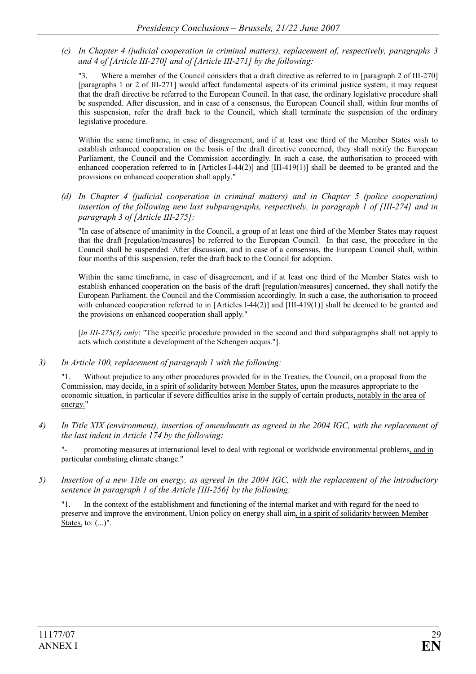<span id="page-29-0"></span>(c) In Chapter 4 (judicial cooperation in criminal matters), replacement of, respectively, paragraphs 3 and 4 of [Article III-270] and of [Article III-271] by the following:

"3. Where a member of the Council considers that a draft directive as referred to in [paragraph 2 of III-270] [paragraphs 1 or 2 of III-271] would affect fundamental aspects of its criminal justice system, it may request that the draft directive be referred to the European Council. In that case, the ordinary legislative procedure shall be suspended. After discussion, and in case of a consensus, the European Council shall, within four months of this suspension, refer the draft back to the Council, which shall terminate the suspension of the ordinary legislative procedure.

Within the same timeframe, in case of disagreement, and if at least one third of the Member States wish to establish enhanced cooperation on the basis of the draft directive concerned, they shall notify the European Parliament, the Council and the Commission accordingly. In such a case, the authorisation to proceed with enhanced cooperation referred to in [Articles I-44(2)] and [III-419(1)] shall be deemed to be granted and the provisions on enhanced cooperation shall apply."

(d) In Chapter 4 (judicial cooperation in criminal matters) and in Chapter 5 (police cooperation) insertion of the following new last subparagraphs, respectively, in paragraph 1 of [III-274] and in paragraph 3 of [Article III-275]:

"In case of absence of unanimity in the Council, a group of at least one third of the Member States may request that the draft [regulation/measures] be referred to the European Council. In that case, the procedure in the Council shall be suspended. After discussion, and in case of a consensus, the European Council shall, within four months of this suspension, refer the draft back to the Council for adoption.

Within the same timeframe, in case of disagreement, and if at least one third of the Member States wish to establish enhanced cooperation on the basis of the draft [regulation/measures] concerned, they shall notify the European Parliament, the Council and the Commission accordingly. In such a case, the authorisation to proceed with enhanced cooperation referred to in [Articles I-44(2)] and [III-419(1)] shall be deemed to be granted and the provisions on enhanced cooperation shall apply."

 $\int$ *in III-275(3) only:* "The specific procedure provided in the second and third subparagraphs shall not apply to acts which constitute a development of the Schengen acquis."].

3) In Article 100, replacement of paragraph 1 with the following:

Without prejudice to any other procedures provided for in the Treaties, the Council, on a proposal from the Commission, may decide, in a spirit of solidarity between Member States, upon the measures appropriate to the economic situation, in particular if severe difficulties arise in the supply of certain products, notably in the area of energy."

4) In Title XIX (environment), insertion of amendments as agreed in the 2004 IGC, with the replacement of the last indent in Article 174 by the following:

promoting measures at international level to deal with regional or worldwide environmental problems, and in particular combating climate change."

5) Insertion of a new Title on energy, as agreed in the 2004 IGC, with the replacement of the introductory sentence in paragraph 1 of the Article [III-256] by the following:

"1. In the context of the establishment and functioning of the internal market and with regard for the need to preserve and improve the environment, Union policy on energy shall aim, in a spirit of solidarity between Member States, to: (...)".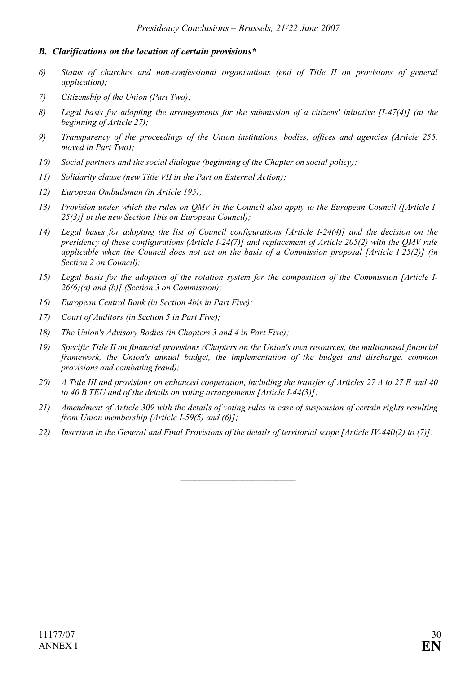#### B. Clarifications on the location of certain provisions\*

- 6) Status of churches and non-confessional organisations (end of Title II on provisions of general application);
- 7) Citizenship of the Union (Part Two);
- 8) Legal basis for adopting the arrangements for the submission of a citizens' initiative [I-47(4)] (at the beginning of Article 27);
- 9) Transparency of the proceedings of the Union institutions, bodies, offices and agencies (Article 255, moved in Part Two);
- 10) Social partners and the social dialogue (beginning of the Chapter on social policy);
- 11) Solidarity clause (new Title VII in the Part on External Action);
- 12) European Ombudsman (in Article 195);
- 13) Provision under which the rules on QMV in the Council also apply to the European Council ([Article I-25(3)] in the new Section 1bis on European Council);
- 14) Legal bases for adopting the list of Council configurations [Article I-24(4)] and the decision on the presidency of these configurations (Article I-24(7)] and replacement of Article 205(2) with the QMV rule applicable when the Council does not act on the basis of a Commission proposal [Article I-25(2)] (in Section 2 on Council);
- 15) Legal basis for the adoption of the rotation system for the composition of the Commission [Article I- $26(6)(a)$  and  $(b)$ ] (Section 3 on Commission);
- 16) European Central Bank (in Section 4bis in Part Five);
- 17) Court of Auditors (in Section 5 in Part Five);
- 18) The Union's Advisory Bodies (in Chapters 3 and 4 in Part Five);
- 19) Specific Title II on financial provisions (Chapters on the Union's own resources, the multiannual financial framework, the Union's annual budget, the implementation of the budget and discharge, common provisions and combating fraud);
- 20) A Title III and provisions on enhanced cooperation, including the transfer of Articles 27 A to 27 E and 40 to 40 B TEU and of the details on voting arrangements [Article I-44(3)];
- 21) Amendment of Article 309 with the details of voting rules in case of suspension of certain rights resulting from Union membership [Article I-59(5) and  $(6)$ ];
- 22) Insertion in the General and Final Provisions of the details of territorial scope [Article IV-440(2) to (7)].

\_\_\_\_\_\_\_\_\_\_\_\_\_\_\_\_\_\_\_\_\_\_\_\_